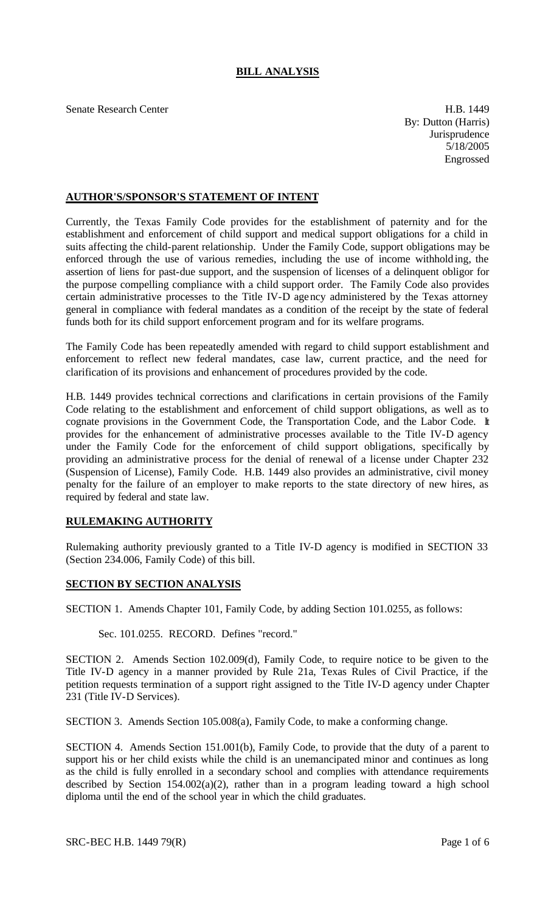## **BILL ANALYSIS**

Senate Research Center **H.B.** 1449

By: Dutton (Harris) **Jurisprudence** 5/18/2005 Engrossed

## **AUTHOR'S/SPONSOR'S STATEMENT OF INTENT**

Currently, the Texas Family Code provides for the establishment of paternity and for the establishment and enforcement of child support and medical support obligations for a child in suits affecting the child-parent relationship. Under the Family Code, support obligations may be enforced through the use of various remedies, including the use of income withholding, the assertion of liens for past-due support, and the suspension of licenses of a delinquent obligor for the purpose compelling compliance with a child support order. The Family Code also provides certain administrative processes to the Title IV-D agency administered by the Texas attorney general in compliance with federal mandates as a condition of the receipt by the state of federal funds both for its child support enforcement program and for its welfare programs.

The Family Code has been repeatedly amended with regard to child support establishment and enforcement to reflect new federal mandates, case law, current practice, and the need for clarification of its provisions and enhancement of procedures provided by the code.

H.B. 1449 provides technical corrections and clarifications in certain provisions of the Family Code relating to the establishment and enforcement of child support obligations, as well as to cognate provisions in the Government Code, the Transportation Code, and the Labor Code. It provides for the enhancement of administrative processes available to the Title IV-D agency under the Family Code for the enforcement of child support obligations, specifically by providing an administrative process for the denial of renewal of a license under Chapter 232 (Suspension of License), Family Code. H.B. 1449 also provides an administrative, civil money penalty for the failure of an employer to make reports to the state directory of new hires, as required by federal and state law.

## **RULEMAKING AUTHORITY**

Rulemaking authority previously granted to a Title IV-D agency is modified in SECTION 33 (Section 234.006, Family Code) of this bill.

## **SECTION BY SECTION ANALYSIS**

SECTION 1. Amends Chapter 101, Family Code, by adding Section 101.0255, as follows:

Sec. 101.0255. RECORD. Defines "record."

SECTION 2. Amends Section 102.009(d), Family Code, to require notice to be given to the Title IV-D agency in a manner provided by Rule 21a, Texas Rules of Civil Practice, if the petition requests termination of a support right assigned to the Title IV-D agency under Chapter 231 (Title IV-D Services).

SECTION 3. Amends Section 105.008(a), Family Code, to make a conforming change.

SECTION 4. Amends Section 151.001(b), Family Code, to provide that the duty of a parent to support his or her child exists while the child is an unemancipated minor and continues as long as the child is fully enrolled in a secondary school and complies with attendance requirements described by Section  $154.002(a)(2)$ , rather than in a program leading toward a high school diploma until the end of the school year in which the child graduates.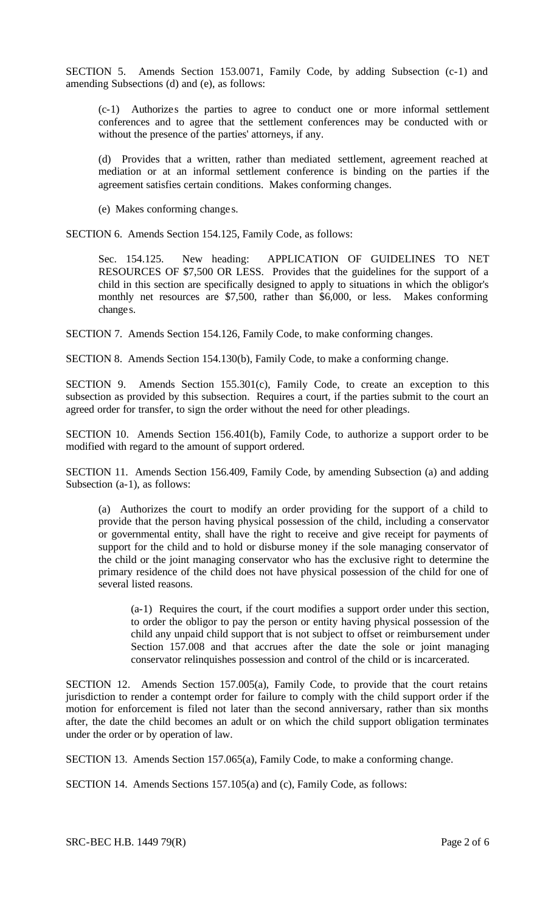SECTION 5. Amends Section 153.0071, Family Code, by adding Subsection (c-1) and amending Subsections (d) and (e), as follows:

(c-1) Authorizes the parties to agree to conduct one or more informal settlement conferences and to agree that the settlement conferences may be conducted with or without the presence of the parties' attorneys, if any.

(d) Provides that a written, rather than mediated settlement, agreement reached at mediation or at an informal settlement conference is binding on the parties if the agreement satisfies certain conditions. Makes conforming changes.

(e) Makes conforming change s.

SECTION 6. Amends Section 154.125, Family Code, as follows:

Sec. 154.125. New heading: APPLICATION OF GUIDELINES TO NET RESOURCES OF \$7,500 OR LESS. Provides that the guidelines for the support of a child in this section are specifically designed to apply to situations in which the obligor's monthly net resources are \$7,500, rather than \$6,000, or less. Makes conforming changes.

SECTION 7. Amends Section 154.126, Family Code, to make conforming changes.

SECTION 8. Amends Section 154.130(b), Family Code, to make a conforming change.

SECTION 9. Amends Section 155.301(c), Family Code, to create an exception to this subsection as provided by this subsection. Requires a court, if the parties submit to the court an agreed order for transfer, to sign the order without the need for other pleadings.

SECTION 10. Amends Section 156.401(b), Family Code, to authorize a support order to be modified with regard to the amount of support ordered.

SECTION 11. Amends Section 156.409, Family Code, by amending Subsection (a) and adding Subsection (a-1), as follows:

(a) Authorizes the court to modify an order providing for the support of a child to provide that the person having physical possession of the child, including a conservator or governmental entity, shall have the right to receive and give receipt for payments of support for the child and to hold or disburse money if the sole managing conservator of the child or the joint managing conservator who has the exclusive right to determine the primary residence of the child does not have physical possession of the child for one of several listed reasons.

(a-1) Requires the court, if the court modifies a support order under this section, to order the obligor to pay the person or entity having physical possession of the child any unpaid child support that is not subject to offset or reimbursement under Section 157.008 and that accrues after the date the sole or joint managing conservator relinquishes possession and control of the child or is incarcerated.

SECTION 12. Amends Section 157.005(a), Family Code, to provide that the court retains jurisdiction to render a contempt order for failure to comply with the child support order if the motion for enforcement is filed not later than the second anniversary, rather than six months after, the date the child becomes an adult or on which the child support obligation terminates under the order or by operation of law.

SECTION 13. Amends Section 157.065(a), Family Code, to make a conforming change.

SECTION 14. Amends Sections 157.105(a) and (c), Family Code, as follows: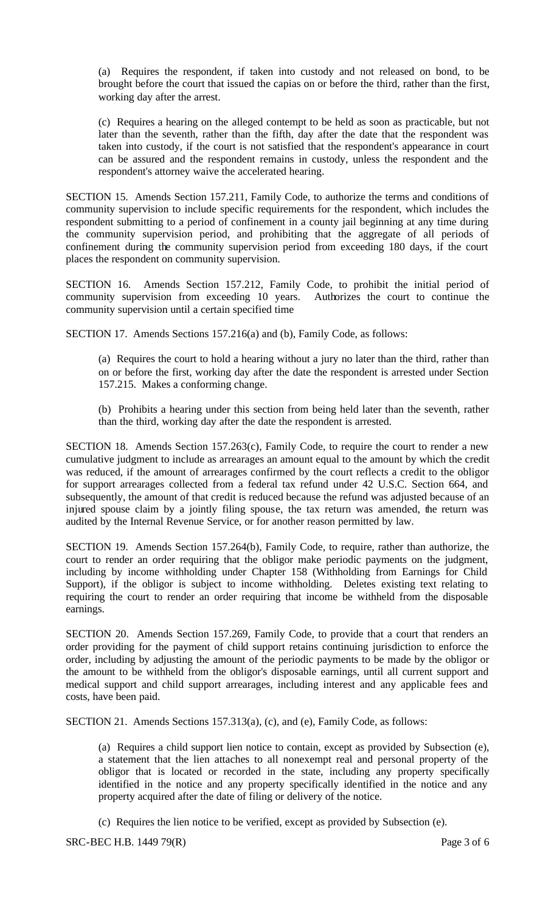(a) Requires the respondent, if taken into custody and not released on bond, to be brought before the court that issued the capias on or before the third, rather than the first, working day after the arrest.

(c) Requires a hearing on the alleged contempt to be held as soon as practicable, but not later than the seventh, rather than the fifth, day after the date that the respondent was taken into custody, if the court is not satisfied that the respondent's appearance in court can be assured and the respondent remains in custody, unless the respondent and the respondent's attorney waive the accelerated hearing.

SECTION 15. Amends Section 157.211, Family Code, to authorize the terms and conditions of community supervision to include specific requirements for the respondent, which includes the respondent submitting to a period of confinement in a county jail beginning at any time during the community supervision period, and prohibiting that the aggregate of all periods of confinement during the community supervision period from exceeding 180 days, if the court places the respondent on community supervision.

SECTION 16. Amends Section 157.212, Family Code, to prohibit the initial period of community supervision from exceeding 10 years. Authorizes the court to continue the community supervision until a certain specified time

SECTION 17. Amends Sections 157.216(a) and (b), Family Code, as follows:

(a) Requires the court to hold a hearing without a jury no later than the third, rather than on or before the first, working day after the date the respondent is arrested under Section 157.215. Makes a conforming change.

(b) Prohibits a hearing under this section from being held later than the seventh, rather than the third, working day after the date the respondent is arrested.

SECTION 18. Amends Section 157.263(c), Family Code, to require the court to render a new cumulative judgment to include as arrearages an amount equal to the amount by which the credit was reduced, if the amount of arrearages confirmed by the court reflects a credit to the obligor for support arrearages collected from a federal tax refund under 42 U.S.C. Section 664, and subsequently, the amount of that credit is reduced because the refund was adjusted because of an injured spouse claim by a jointly filing spouse, the tax return was amended, the return was audited by the Internal Revenue Service, or for another reason permitted by law.

SECTION 19. Amends Section 157.264(b), Family Code, to require, rather than authorize, the court to render an order requiring that the obligor make periodic payments on the judgment, including by income withholding under Chapter 158 (Withholding from Earnings for Child Support), if the obligor is subject to income withholding. Deletes existing text relating to requiring the court to render an order requiring that income be withheld from the disposable earnings.

SECTION 20. Amends Section 157.269, Family Code, to provide that a court that renders an order providing for the payment of child support retains continuing jurisdiction to enforce the order, including by adjusting the amount of the periodic payments to be made by the obligor or the amount to be withheld from the obligor's disposable earnings, until all current support and medical support and child support arrearages, including interest and any applicable fees and costs, have been paid.

SECTION 21. Amends Sections 157.313(a), (c), and (e), Family Code, as follows:

(a) Requires a child support lien notice to contain, except as provided by Subsection (e), a statement that the lien attaches to all nonexempt real and personal property of the obligor that is located or recorded in the state, including any property specifically identified in the notice and any property specifically identified in the notice and any property acquired after the date of filing or delivery of the notice.

(c) Requires the lien notice to be verified, except as provided by Subsection (e).

SRC-BEC H.B. 1449 79(R) Page 3 of 6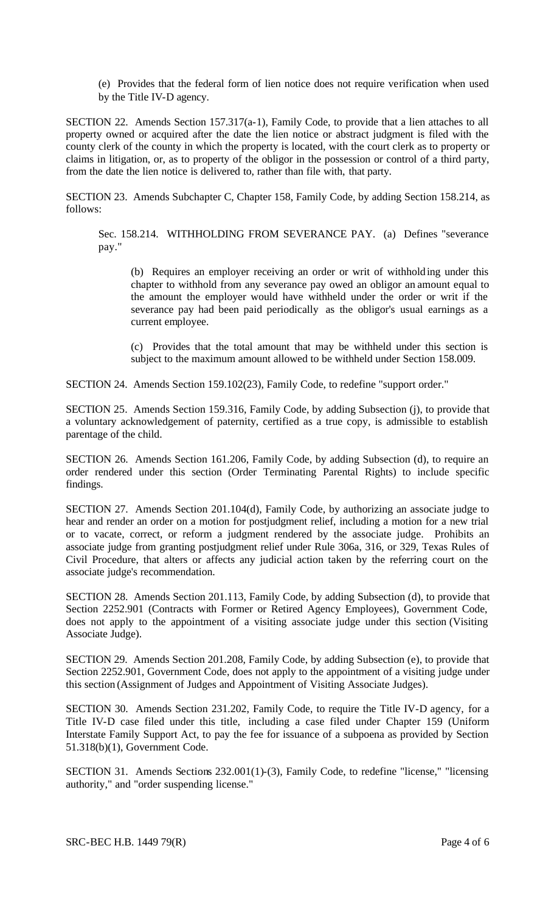(e) Provides that the federal form of lien notice does not require verification when used by the Title IV-D agency.

SECTION 22. Amends Section 157.317(a-1), Family Code, to provide that a lien attaches to all property owned or acquired after the date the lien notice or abstract judgment is filed with the county clerk of the county in which the property is located, with the court clerk as to property or claims in litigation, or, as to property of the obligor in the possession or control of a third party, from the date the lien notice is delivered to, rather than file with, that party.

SECTION 23. Amends Subchapter C, Chapter 158, Family Code, by adding Section 158.214, as follows:

Sec. 158.214. WITHHOLDING FROM SEVERANCE PAY. (a) Defines "severance pay."

(b) Requires an employer receiving an order or writ of withholding under this chapter to withhold from any severance pay owed an obligor an amount equal to the amount the employer would have withheld under the order or writ if the severance pay had been paid periodically as the obligor's usual earnings as a current employee.

(c) Provides that the total amount that may be withheld under this section is subject to the maximum amount allowed to be withheld under Section 158.009.

SECTION 24. Amends Section 159.102(23), Family Code, to redefine "support order."

SECTION 25. Amends Section 159.316, Family Code, by adding Subsection (j), to provide that a voluntary acknowledgement of paternity, certified as a true copy, is admissible to establish parentage of the child.

SECTION 26. Amends Section 161.206, Family Code, by adding Subsection (d), to require an order rendered under this section (Order Terminating Parental Rights) to include specific findings.

SECTION 27. Amends Section 201.104(d), Family Code, by authorizing an associate judge to hear and render an order on a motion for postjudgment relief, including a motion for a new trial or to vacate, correct, or reform a judgment rendered by the associate judge. Prohibits an associate judge from granting postjudgment relief under Rule 306a, 316, or 329, Texas Rules of Civil Procedure, that alters or affects any judicial action taken by the referring court on the associate judge's recommendation.

SECTION 28. Amends Section 201.113, Family Code, by adding Subsection (d), to provide that Section 2252.901 (Contracts with Former or Retired Agency Employees), Government Code, does not apply to the appointment of a visiting associate judge under this section (Visiting Associate Judge).

SECTION 29. Amends Section 201.208, Family Code, by adding Subsection (e), to provide that Section 2252.901, Government Code, does not apply to the appointment of a visiting judge under this section (Assignment of Judges and Appointment of Visiting Associate Judges).

SECTION 30. Amends Section 231.202, Family Code, to require the Title IV-D agency, for a Title IV-D case filed under this title, including a case filed under Chapter 159 (Uniform Interstate Family Support Act, to pay the fee for issuance of a subpoena as provided by Section 51.318(b)(1), Government Code.

SECTION 31. Amends Sections 232.001(1)-(3), Family Code, to redefine "license," "licensing authority," and "order suspending license."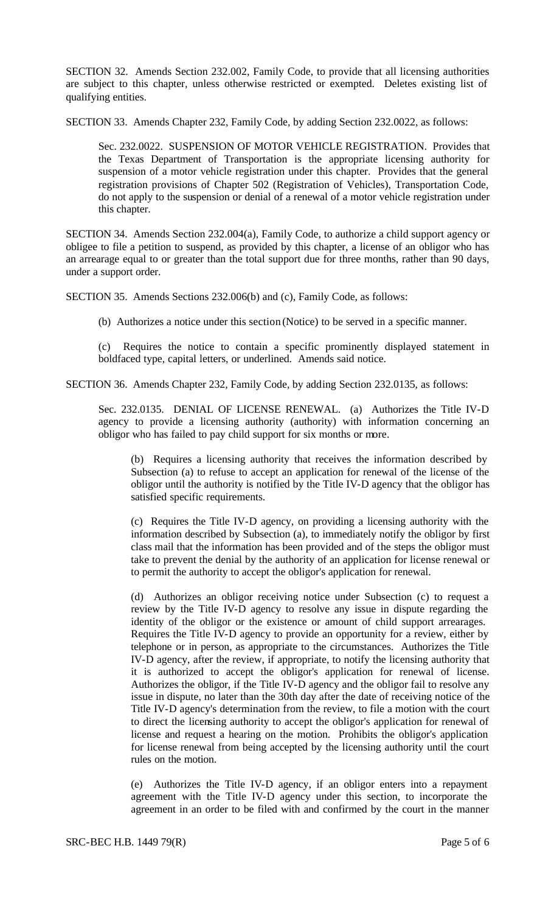SECTION 32. Amends Section 232.002, Family Code, to provide that all licensing authorities are subject to this chapter, unless otherwise restricted or exempted. Deletes existing list of qualifying entities.

SECTION 33. Amends Chapter 232, Family Code, by adding Section 232.0022, as follows:

Sec. 232.0022. SUSPENSION OF MOTOR VEHICLE REGISTRATION. Provides that the Texas Department of Transportation is the appropriate licensing authority for suspension of a motor vehicle registration under this chapter. Provides that the general registration provisions of Chapter 502 (Registration of Vehicles), Transportation Code, do not apply to the suspension or denial of a renewal of a motor vehicle registration under this chapter.

SECTION 34. Amends Section 232.004(a), Family Code, to authorize a child support agency or obligee to file a petition to suspend, as provided by this chapter, a license of an obligor who has an arrearage equal to or greater than the total support due for three months, rather than 90 days, under a support order.

SECTION 35. Amends Sections 232.006(b) and (c), Family Code, as follows:

(b) Authorizes a notice under this section (Notice) to be served in a specific manner.

(c) Requires the notice to contain a specific prominently displayed statement in boldfaced type, capital letters, or underlined. Amends said notice.

SECTION 36. Amends Chapter 232, Family Code, by adding Section 232.0135, as follows:

Sec. 232.0135. DENIAL OF LICENSE RENEWAL. (a) Authorizes the Title IV-D agency to provide a licensing authority (authority) with information concerning an obligor who has failed to pay child support for six months or more.

(b) Requires a licensing authority that receives the information described by Subsection (a) to refuse to accept an application for renewal of the license of the obligor until the authority is notified by the Title IV-D agency that the obligor has satisfied specific requirements.

(c) Requires the Title IV-D agency, on providing a licensing authority with the information described by Subsection (a), to immediately notify the obligor by first class mail that the information has been provided and of the steps the obligor must take to prevent the denial by the authority of an application for license renewal or to permit the authority to accept the obligor's application for renewal.

(d) Authorizes an obligor receiving notice under Subsection (c) to request a review by the Title IV-D agency to resolve any issue in dispute regarding the identity of the obligor or the existence or amount of child support arrearages. Requires the Title IV-D agency to provide an opportunity for a review, either by telephone or in person, as appropriate to the circumstances. Authorizes the Title IV-D agency, after the review, if appropriate, to notify the licensing authority that it is authorized to accept the obligor's application for renewal of license. Authorizes the obligor, if the Title IV-D agency and the obligor fail to resolve any issue in dispute, no later than the 30th day after the date of receiving notice of the Title IV-D agency's determination from the review, to file a motion with the court to direct the licensing authority to accept the obligor's application for renewal of license and request a hearing on the motion. Prohibits the obligor's application for license renewal from being accepted by the licensing authority until the court rules on the motion.

(e) Authorizes the Title IV-D agency, if an obligor enters into a repayment agreement with the Title IV-D agency under this section, to incorporate the agreement in an order to be filed with and confirmed by the court in the manner